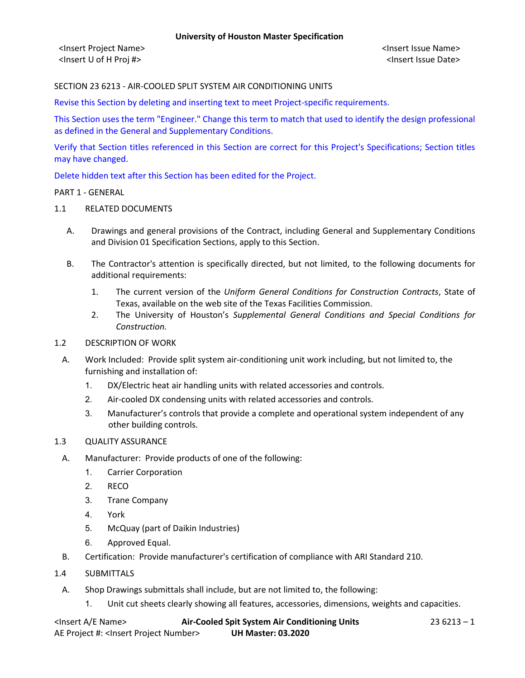<Insert Project Name> <Insert Issue Name> <Insert U of H Proj #> <Insert Issue Date>

## SECTION 23 6213 - AIR-COOLED SPLIT SYSTEM AIR CONDITIONING UNITS

Revise this Section by deleting and inserting text to meet Project-specific requirements.

This Section uses the term "Engineer." Change this term to match that used to identify the design professional as defined in the General and Supplementary Conditions.

Verify that Section titles referenced in this Section are correct for this Project's Specifications; Section titles may have changed.

Delete hidden text after this Section has been edited for the Project.

#### PART 1 - GENERAL

#### 1.1 RELATED DOCUMENTS

- A. Drawings and general provisions of the Contract, including General and Supplementary Conditions and Division 01 Specification Sections, apply to this Section.
- B. The Contractor's attention is specifically directed, but not limited, to the following documents for additional requirements:
	- 1. The current version of the *Uniform General Conditions for Construction Contracts*, State of Texas, available on the web site of the Texas Facilities Commission.
	- 2. The University of Houston's *Supplemental General Conditions and Special Conditions for Construction.*

#### 1.2 DESCRIPTION OF WORK

- A. Work Included: Provide split system air-conditioning unit work including, but not limited to, the furnishing and installation of:
	- 1. DX/Electric heat air handling units with related accessories and controls.
	- 2. Air-cooled DX condensing units with related accessories and controls.
	- 3. Manufacturer's controls that provide a complete and operational system independent of any other building controls.

## 1.3 QUALITY ASSURANCE

- A. Manufacturer: Provide products of one of the following:
	- 1. Carrier Corporation
	- 2. RECO
	- 3. Trane Company
	- 4. York
	- 5. McQuay (part of Daikin Industries)
	- 6. Approved Equal.
- B. Certification: Provide manufacturer's certification of compliance with ARI Standard 210.
- 1.4 SUBMITTALS
	- A. Shop Drawings submittals shall include, but are not limited to, the following:
		- 1. Unit cut sheets clearly showing all features, accessories, dimensions, weights and capacities.
- <Insert A/E Name> **Air-Cooled Spit System Air Conditioning Units** 23 6213 1 AE Project #: <Insert Project Number> **UH Master: 03.2020**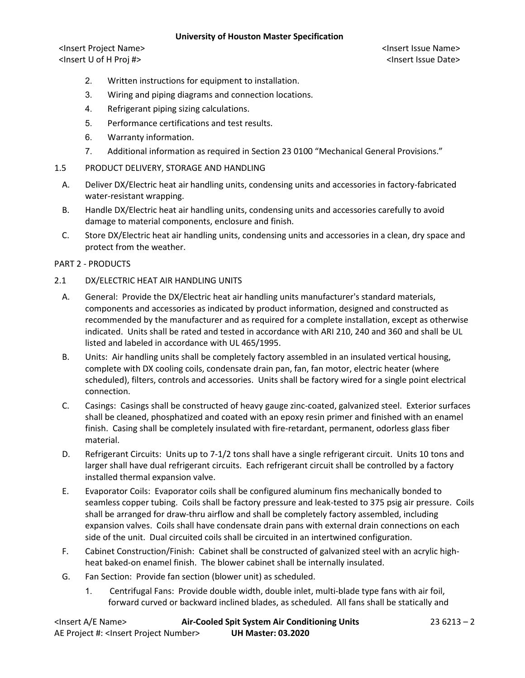<Insert Project Name> <Insert Issue Name> <Insert U of H Proj #> <Insert Issue Date>

- 2. Written instructions for equipment to installation.
- 3. Wiring and piping diagrams and connection locations.
- 4. Refrigerant piping sizing calculations.
- 5. Performance certifications and test results.
- 6. Warranty information.
- 7. Additional information as required in Section 23 0100 "Mechanical General Provisions."
- 1.5 PRODUCT DELIVERY, STORAGE AND HANDLING
	- A. Deliver DX/Electric heat air handling units, condensing units and accessories in factory-fabricated water-resistant wrapping.
	- B. Handle DX/Electric heat air handling units, condensing units and accessories carefully to avoid damage to material components, enclosure and finish.
	- C. Store DX/Electric heat air handling units, condensing units and accessories in a clean, dry space and protect from the weather.

# PART 2 - PRODUCTS

- 2.1 DX/ELECTRIC HEAT AIR HANDLING UNITS
	- A. General: Provide the DX/Electric heat air handling units manufacturer's standard materials, components and accessories as indicated by product information, designed and constructed as recommended by the manufacturer and as required for a complete installation, except as otherwise indicated. Units shall be rated and tested in accordance with ARI 210, 240 and 360 and shall be UL listed and labeled in accordance with UL 465/1995.
	- B. Units: Air handling units shall be completely factory assembled in an insulated vertical housing, complete with DX cooling coils, condensate drain pan, fan, fan motor, electric heater (where scheduled), filters, controls and accessories. Units shall be factory wired for a single point electrical connection.
	- C. Casings: Casings shall be constructed of heavy gauge zinc-coated, galvanized steel. Exterior surfaces shall be cleaned, phosphatized and coated with an epoxy resin primer and finished with an enamel finish. Casing shall be completely insulated with fire-retardant, permanent, odorless glass fiber material.
	- D. Refrigerant Circuits: Units up to 7-1/2 tons shall have a single refrigerant circuit. Units 10 tons and larger shall have dual refrigerant circuits. Each refrigerant circuit shall be controlled by a factory installed thermal expansion valve.
	- E. Evaporator Coils: Evaporator coils shall be configured aluminum fins mechanically bonded to seamless copper tubing. Coils shall be factory pressure and leak-tested to 375 psig air pressure. Coils shall be arranged for draw-thru airflow and shall be completely factory assembled, including expansion valves. Coils shall have condensate drain pans with external drain connections on each side of the unit. Dual circuited coils shall be circuited in an intertwined configuration.
	- F. Cabinet Construction/Finish: Cabinet shall be constructed of galvanized steel with an acrylic highheat baked-on enamel finish. The blower cabinet shall be internally insulated.
	- G. Fan Section: Provide fan section (blower unit) as scheduled.
		- 1. Centrifugal Fans: Provide double width, double inlet, multi-blade type fans with air foil, forward curved or backward inclined blades, as scheduled. All fans shall be statically and

| <lnsert a="" e="" name=""></lnsert>                  | Air-Cooled Spit System Air Conditioning Units | $236213 - 2$ |
|------------------------------------------------------|-----------------------------------------------|--------------|
| AE Project #: <lnsert number="" project=""></lnsert> | <b>UH Master: 03.2020</b>                     |              |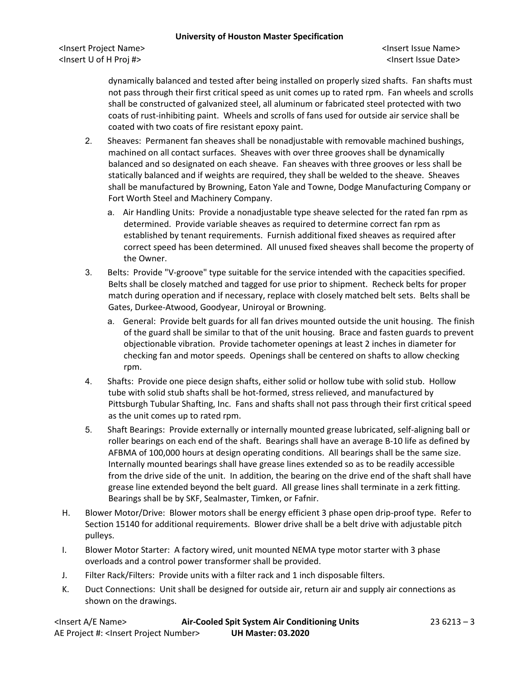<Insert Project Name> <Insert Issue Name> <Insert U of H Proj #> <Insert Issue Date>

dynamically balanced and tested after being installed on properly sized shafts. Fan shafts must not pass through their first critical speed as unit comes up to rated rpm. Fan wheels and scrolls shall be constructed of galvanized steel, all aluminum or fabricated steel protected with two coats of rust-inhibiting paint. Wheels and scrolls of fans used for outside air service shall be coated with two coats of fire resistant epoxy paint.

- 2. Sheaves: Permanent fan sheaves shall be nonadjustable with removable machined bushings, machined on all contact surfaces. Sheaves with over three grooves shall be dynamically balanced and so designated on each sheave. Fan sheaves with three grooves or less shall be statically balanced and if weights are required, they shall be welded to the sheave. Sheaves shall be manufactured by Browning, Eaton Yale and Towne, Dodge Manufacturing Company or Fort Worth Steel and Machinery Company.
	- a. Air Handling Units: Provide a nonadjustable type sheave selected for the rated fan rpm as determined. Provide variable sheaves as required to determine correct fan rpm as established by tenant requirements. Furnish additional fixed sheaves as required after correct speed has been determined. All unused fixed sheaves shall become the property of the Owner.
- 3. Belts: Provide "V-groove" type suitable for the service intended with the capacities specified. Belts shall be closely matched and tagged for use prior to shipment. Recheck belts for proper match during operation and if necessary, replace with closely matched belt sets. Belts shall be Gates, Durkee-Atwood, Goodyear, Uniroyal or Browning.
	- a. General: Provide belt guards for all fan drives mounted outside the unit housing. The finish of the guard shall be similar to that of the unit housing. Brace and fasten guards to prevent objectionable vibration. Provide tachometer openings at least 2 inches in diameter for checking fan and motor speeds. Openings shall be centered on shafts to allow checking rpm.
- 4. Shafts: Provide one piece design shafts, either solid or hollow tube with solid stub. Hollow tube with solid stub shafts shall be hot-formed, stress relieved, and manufactured by Pittsburgh Tubular Shafting, Inc. Fans and shafts shall not pass through their first critical speed as the unit comes up to rated rpm.
- 5. Shaft Bearings: Provide externally or internally mounted grease lubricated, self-aligning ball or roller bearings on each end of the shaft. Bearings shall have an average B-10 life as defined by AFBMA of 100,000 hours at design operating conditions. All bearings shall be the same size. Internally mounted bearings shall have grease lines extended so as to be readily accessible from the drive side of the unit. In addition, the bearing on the drive end of the shaft shall have grease line extended beyond the belt guard. All grease lines shall terminate in a zerk fitting. Bearings shall be by SKF, Sealmaster, Timken, or Fafnir.
- H. Blower Motor/Drive: Blower motors shall be energy efficient 3 phase open drip-proof type. Refer to Section 15140 for additional requirements. Blower drive shall be a belt drive with adjustable pitch pulleys.
- I. Blower Motor Starter: A factory wired, unit mounted NEMA type motor starter with 3 phase overloads and a control power transformer shall be provided.
- J. Filter Rack/Filters: Provide units with a filter rack and 1 inch disposable filters.
- K. Duct Connections: Unit shall be designed for outside air, return air and supply air connections as shown on the drawings.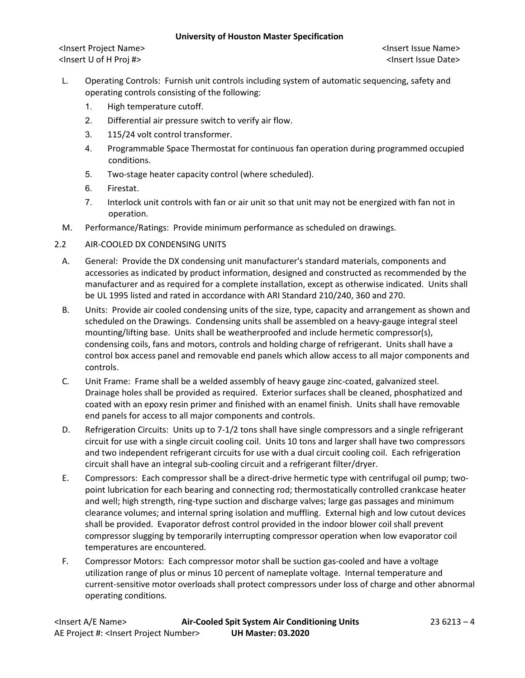<Insert Project Name> <Insert Issue Name> <Insert U of H Proj #> <Insert Issue Date>

- L. Operating Controls: Furnish unit controls including system of automatic sequencing, safety and operating controls consisting of the following:
	- 1. High temperature cutoff.
	- 2. Differential air pressure switch to verify air flow.
	- 3. 115/24 volt control transformer.
	- 4. Programmable Space Thermostat for continuous fan operation during programmed occupied conditions.
	- 5. Two-stage heater capacity control (where scheduled).
	- 6. Firestat.
	- 7. Interlock unit controls with fan or air unit so that unit may not be energized with fan not in operation.
- M. Performance/Ratings: Provide minimum performance as scheduled on drawings.
- 2.2 AIR-COOLED DX CONDENSING UNITS
	- A. General: Provide the DX condensing unit manufacturer's standard materials, components and accessories as indicated by product information, designed and constructed as recommended by the manufacturer and as required for a complete installation, except as otherwise indicated. Units shall be UL 1995 listed and rated in accordance with ARI Standard 210/240, 360 and 270.
	- B. Units: Provide air cooled condensing units of the size, type, capacity and arrangement as shown and scheduled on the Drawings. Condensing units shall be assembled on a heavy-gauge integral steel mounting/lifting base. Units shall be weatherproofed and include hermetic compressor(s), condensing coils, fans and motors, controls and holding charge of refrigerant. Units shall have a control box access panel and removable end panels which allow access to all major components and controls.
	- C. Unit Frame: Frame shall be a welded assembly of heavy gauge zinc-coated, galvanized steel. Drainage holes shall be provided as required. Exterior surfaces shall be cleaned, phosphatized and coated with an epoxy resin primer and finished with an enamel finish. Units shall have removable end panels for access to all major components and controls.
	- D. Refrigeration Circuits: Units up to 7-1/2 tons shall have single compressors and a single refrigerant circuit for use with a single circuit cooling coil. Units 10 tons and larger shall have two compressors and two independent refrigerant circuits for use with a dual circuit cooling coil. Each refrigeration circuit shall have an integral sub-cooling circuit and a refrigerant filter/dryer.
	- E. Compressors: Each compressor shall be a direct-drive hermetic type with centrifugal oil pump; twopoint lubrication for each bearing and connecting rod; thermostatically controlled crankcase heater and well; high strength, ring-type suction and discharge valves; large gas passages and minimum clearance volumes; and internal spring isolation and muffling. External high and low cutout devices shall be provided. Evaporator defrost control provided in the indoor blower coil shall prevent compressor slugging by temporarily interrupting compressor operation when low evaporator coil temperatures are encountered.
	- F. Compressor Motors: Each compressor motor shall be suction gas-cooled and have a voltage utilization range of plus or minus 10 percent of nameplate voltage. Internal temperature and current-sensitive motor overloads shall protect compressors under loss of charge and other abnormal operating conditions.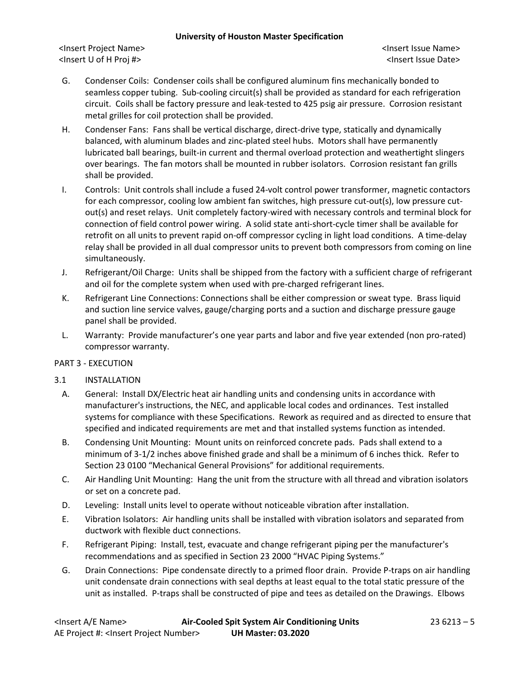<Insert Project Name> <Insert Issue Name> <Insert U of H Proj #> <Insert Issue Date>

- G. Condenser Coils: Condenser coils shall be configured aluminum fins mechanically bonded to seamless copper tubing. Sub-cooling circuit(s) shall be provided as standard for each refrigeration circuit. Coils shall be factory pressure and leak-tested to 425 psig air pressure. Corrosion resistant metal grilles for coil protection shall be provided.
- H. Condenser Fans: Fans shall be vertical discharge, direct-drive type, statically and dynamically balanced, with aluminum blades and zinc-plated steel hubs. Motors shall have permanently lubricated ball bearings, built-in current and thermal overload protection and weathertight slingers over bearings. The fan motors shall be mounted in rubber isolators. Corrosion resistant fan grills shall be provided.
- I. Controls: Unit controls shall include a fused 24-volt control power transformer, magnetic contactors for each compressor, cooling low ambient fan switches, high pressure cut-out(s), low pressure cutout(s) and reset relays. Unit completely factory-wired with necessary controls and terminal block for connection of field control power wiring. A solid state anti-short-cycle timer shall be available for retrofit on all units to prevent rapid on-off compressor cycling in light load conditions. A time-delay relay shall be provided in all dual compressor units to prevent both compressors from coming on line simultaneously.
- J. Refrigerant/Oil Charge: Units shall be shipped from the factory with a sufficient charge of refrigerant and oil for the complete system when used with pre-charged refrigerant lines.
- K. Refrigerant Line Connections: Connections shall be either compression or sweat type. Brass liquid and suction line service valves, gauge/charging ports and a suction and discharge pressure gauge panel shall be provided.
- L. Warranty: Provide manufacturer's one year parts and labor and five year extended (non pro-rated) compressor warranty.

# PART 3 - EXECUTION

# 3.1 INSTALLATION

- A. General: Install DX/Electric heat air handling units and condensing units in accordance with manufacturer's instructions, the NEC, and applicable local codes and ordinances. Test installed systems for compliance with these Specifications. Rework as required and as directed to ensure that specified and indicated requirements are met and that installed systems function as intended.
- B. Condensing Unit Mounting: Mount units on reinforced concrete pads. Pads shall extend to a minimum of 3-1/2 inches above finished grade and shall be a minimum of 6 inches thick. Refer to Section 23 0100 "Mechanical General Provisions" for additional requirements.
- C. Air Handling Unit Mounting: Hang the unit from the structure with all thread and vibration isolators or set on a concrete pad.
- D. Leveling: Install units level to operate without noticeable vibration after installation.
- E. Vibration Isolators: Air handling units shall be installed with vibration isolators and separated from ductwork with flexible duct connections.
- F. Refrigerant Piping: Install, test, evacuate and change refrigerant piping per the manufacturer's recommendations and as specified in Section 23 2000 "HVAC Piping Systems."
- G. Drain Connections: Pipe condensate directly to a primed floor drain. Provide P-traps on air handling unit condensate drain connections with seal depths at least equal to the total static pressure of the unit as installed. P-traps shall be constructed of pipe and tees as detailed on the Drawings. Elbows